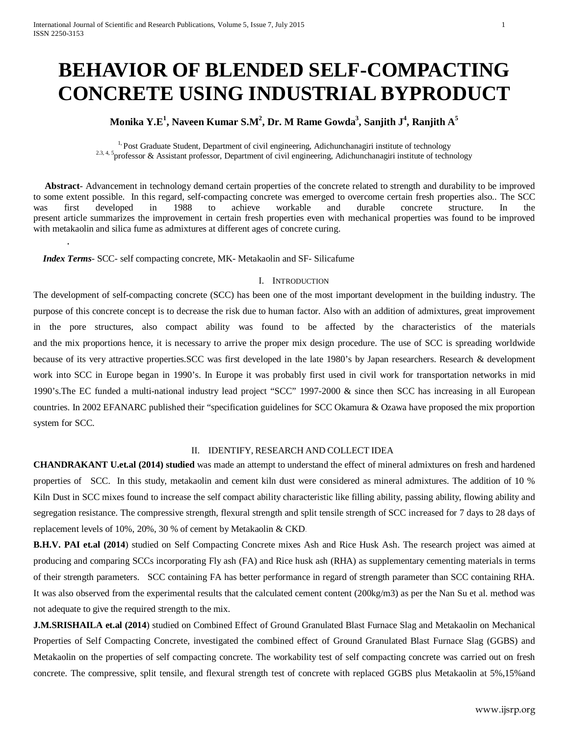# **BEHAVIOR OF BLENDED SELF-COMPACTING CONCRETE USING INDUSTRIAL BYPRODUCT**

# **Monika Y.E<sup>1</sup> , Naveen Kumar S.M2 , Dr. M Rame Gowda3 , Sanjith J4 , Ranjith A5**

<sup>1</sup>. Post Graduate Student, Department of civil engineering, Adichunchanagiri institute of technology <sup>2.3, 4, 5</sup>professor & Assistant professor, Department of civil engineering, Adichunchanagiri institute of technology

 **Abstract**- Advancement in technology demand certain properties of the concrete related to strength and durability to be improved to some extent possible. In this regard, self-compacting concrete was emerged to overcome certain fresh properties also.. The SCC was first developed in 1988 to achieve workable and durable concrete structure. In the present article summarizes the improvement in certain fresh properties even with mechanical properties was found to be improved with metakaolin and silica fume as admixtures at different ages of concrete curing.

 *Index Terms*- SCC- self compacting concrete, MK- Metakaolin and SF- Silicafume

.

#### I. INTRODUCTION

The development of self-compacting concrete (SCC) has been one of the most important development in the building industry. The purpose of this concrete concept is to decrease the risk due to human factor. Also with an addition of admixtures, great improvement in the pore structures, also compact ability was found to be affected by the characteristics of the materials and the mix proportions hence, it is necessary to arrive the proper mix design procedure. The use of SCC is spreading worldwide because of its very attractive properties.SCC was first developed in the late 1980's by Japan researchers. Research & development work into SCC in Europe began in 1990's. In Europe it was probably first used in civil work for transportation networks in mid 1990's.The EC funded a multi-national industry lead project "SCC" 1997-2000 & since then SCC has increasing in all European countries. In 2002 EFANARC published their "specification guidelines for SCC Okamura & Ozawa have proposed the mix proportion system for SCC.

#### II. IDENTIFY, RESEARCH AND COLLECT IDEA

**CHANDRAKANT U.et.al (2014) studied** was made an attempt to understand the effect of mineral admixtures on fresh and hardened properties of SCC. In this study, metakaolin and cement kiln dust were considered as mineral admixtures. The addition of 10 % Kiln Dust in SCC mixes found to increase the self compact ability characteristic like filling ability, passing ability, flowing ability and segregation resistance. The compressive strength, flexural strength and split tensile strength of SCC increased for 7 days to 28 days of replacement levels of 10%, 20%, 30 % of cement by Metakaolin & CKD.

**B.H.V. PAI et.al (2014**) studied on Self Compacting Concrete mixes Ash and Rice Husk Ash. The research project was aimed at producing and comparing SCCs incorporating Fly ash (FA) and Rice husk ash (RHA) as supplementary cementing materials in terms of their strength parameters. SCC containing FA has better performance in regard of strength parameter than SCC containing RHA. It was also observed from the experimental results that the calculated cement content (200kg/m3) as per the Nan Su et al. method was not adequate to give the required strength to the mix.

**J.M.SRISHAILA et.al (2014**) studied on Combined Effect of Ground Granulated Blast Furnace Slag and Metakaolin on Mechanical Properties of Self Compacting Concrete, investigated the combined effect of Ground Granulated Blast Furnace Slag (GGBS) and Metakaolin on the properties of self compacting concrete. The workability test of self compacting concrete was carried out on fresh concrete. The compressive, split tensile, and flexural strength test of concrete with replaced GGBS plus Metakaolin at 5%,15%and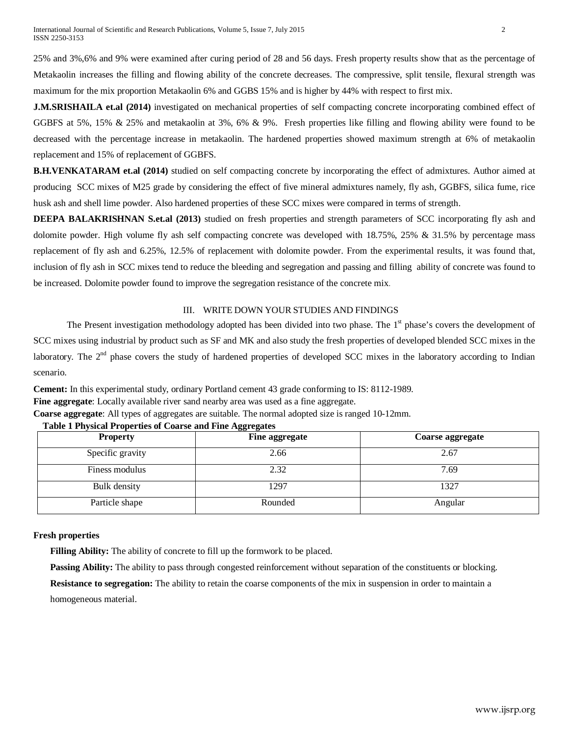25% and 3%,6% and 9% were examined after curing period of 28 and 56 days. Fresh property results show that as the percentage of Metakaolin increases the filling and flowing ability of the concrete decreases. The compressive, split tensile, flexural strength was maximum for the mix proportion Metakaolin 6% and GGBS 15% and is higher by 44% with respect to first mix.

**J.M.SRISHAILA et.al (2014)** investigated on mechanical properties of self compacting concrete incorporating combined effect of GGBFS at 5%, 15% & 25% and metakaolin at 3%, 6% & 9%. Fresh properties like filling and flowing ability were found to be decreased with the percentage increase in metakaolin. The hardened properties showed maximum strength at 6% of metakaolin replacement and 15% of replacement of GGBFS.

**B.H.VENKATARAM et.al (2014)** studied on self compacting concrete by incorporating the effect of admixtures. Author aimed at producing SCC mixes of M25 grade by considering the effect of five mineral admixtures namely, fly ash, GGBFS, silica fume, rice husk ash and shell lime powder. Also hardened properties of these SCC mixes were compared in terms of strength.

**DEEPA BALAKRISHNAN S.et.al (2013)** studied on fresh properties and strength parameters of SCC incorporating fly ash and dolomite powder. High volume fly ash self compacting concrete was developed with 18.75%, 25% & 31.5% by percentage mass replacement of fly ash and 6.25%, 12.5% of replacement with dolomite powder. From the experimental results, it was found that, inclusion of fly ash in SCC mixes tend to reduce the bleeding and segregation and passing and filling ability of concrete was found to be increased. Dolomite powder found to improve the segregation resistance of the concrete mix.

# III. WRITE DOWN YOUR STUDIES AND FINDINGS

The Present investigation methodology adopted has been divided into two phase. The 1<sup>st</sup> phase's covers the development of SCC mixes using industrial by product such as SF and MK and also study the fresh properties of developed blended SCC mixes in the laboratory. The 2<sup>nd</sup> phase covers the study of hardened properties of developed SCC mixes in the laboratory according to Indian scenario.

**Cement:** In this experimental study, ordinary Portland cement 43 grade conforming to IS: 8112-1989. **Fine aggregate**: Locally available river sand nearby area was used as a fine aggregate.

**Coarse aggregate**: All types of aggregates are suitable. The normal adopted size is ranged 10-12mm.

| <b>Property</b>  | Fine aggregate | Coarse aggregate |
|------------------|----------------|------------------|
| Specific gravity | 2.66           | 2.67             |
| Finess modulus   | 2.32           | 7.69             |
| Bulk density     | 1297           | 1327             |
| Particle shape   | Rounded        | Angular          |

 **Table 1 Physical Properties of Coarse and Fine Aggregates**

### **Fresh properties**

**Filling Ability:** The ability of concrete to fill up the formwork to be placed.

**Passing Ability:** The ability to pass through congested reinforcement without separation of the constituents or blocking.

**Resistance to segregation:** The ability to retain the coarse components of the mix in suspension in order to maintain a homogeneous material.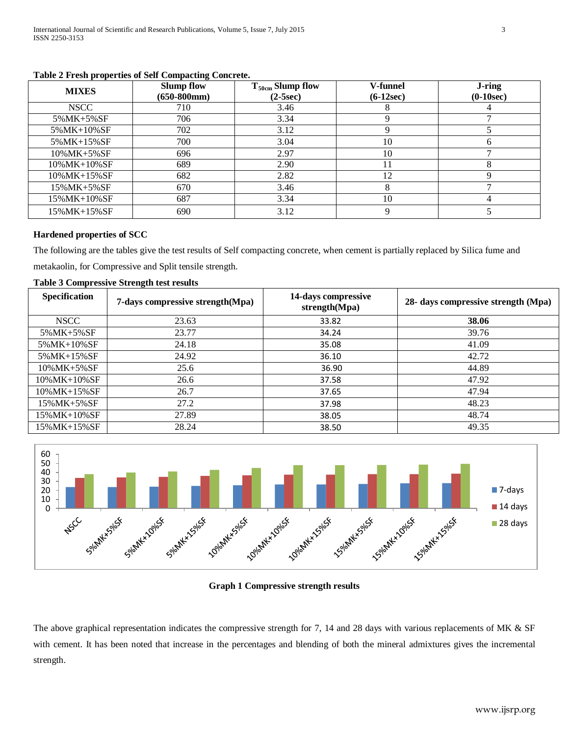| <b>MIXES</b>         | <b>Slump flow</b><br>$(650-800$ mm $)$ | $T_{50cm}$ Slump flow<br>$(2-5sec)$ | V-funnel<br>$(6-12sec)$ | J-ring<br>$(0-10sec)$ |
|----------------------|----------------------------------------|-------------------------------------|-------------------------|-----------------------|
| <b>NSCC</b>          | 710                                    | 3.46                                |                         |                       |
| 5%MK+5%SF            | 706                                    | 3.34                                |                         |                       |
| 5%MK+10%SF           | 702                                    | 3.12                                |                         |                       |
| 5%MK+15%SF           | 700                                    | 3.04                                | 10                      |                       |
| $10\%MK+5\%SF$       | 696                                    | 2.97                                | 10                      |                       |
| $10\%$ MK+ $10\%$ SF | 689                                    | 2.90                                | 11                      |                       |
| $10\%MK+15\%SF$      | 682                                    | 2.82                                | 12                      |                       |
| 15%MK+5%SF           | 670                                    | 3.46                                | 8                       |                       |
| 15%MK+10%SF          | 687                                    | 3.34                                | 10                      |                       |
| 15%MK+15%SF          | 690                                    | 3.12                                | q                       |                       |

#### **Table 2 Fresh properties of Self Compacting Concrete.**

# **Hardened properties of SCC**

The following are the tables give the test results of Self compacting concrete, when cement is partially replaced by Silica fume and metakaolin, for Compressive and Split tensile strength.

#### **Table 3 Compressive Strength test results**

| <b>Specification</b> | 7-days compressive strength(Mpa) | 14-days compressive<br>strength(Mpa) | 28- days compressive strength (Mpa) |
|----------------------|----------------------------------|--------------------------------------|-------------------------------------|
| <b>NSCC</b>          | 23.63                            | 33.82                                | 38.06                               |
| 5%MK+5%SF            | 23.77                            | 34.24                                | 39.76                               |
| 5%MK+10%SF           | 24.18                            | 35.08                                | 41.09                               |
| 5%MK+15%SF           | 24.92                            | 36.10                                | 42.72                               |
| 10%MK+5%SF           | 25.6                             | 36.90                                | 44.89                               |
| $10\%$ MK+ $10\%$ SF | 26.6                             | 37.58                                | 47.92                               |
| $10\%MK+15\%SF$      | 26.7                             | 37.65                                | 47.94                               |
| 15%MK+5%SF           | 27.2                             | 37.98                                | 48.23                               |
| 15% MK+10% SF        | 27.89                            | 38.05                                | 48.74                               |
| $15\%$ MK+15% SF     | 28.24                            | 38.50                                | 49.35                               |



# **Graph 1 Compressive strength results**

The above graphical representation indicates the compressive strength for 7, 14 and 28 days with various replacements of MK & SF with cement. It has been noted that increase in the percentages and blending of both the mineral admixtures gives the incremental strength.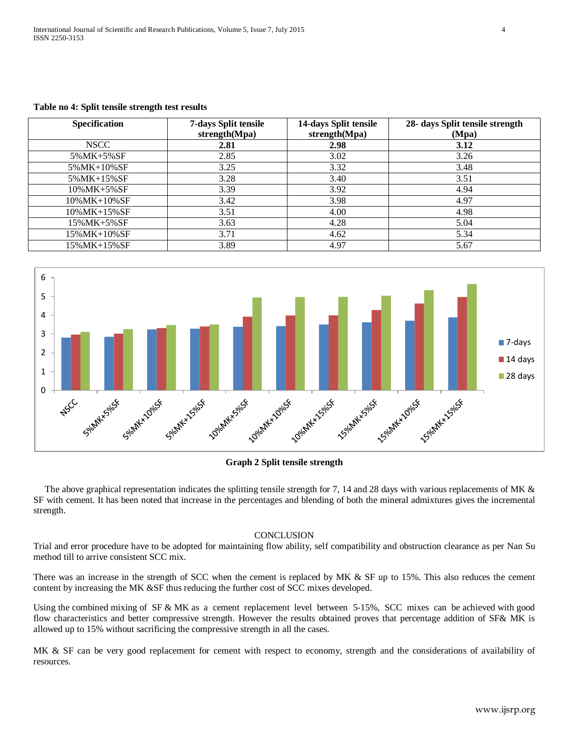| Specification    | 7-days Split tensile<br>strength(Mpa) | 14-days Split tensile<br>strength(Mpa) | 28- days Split tensile strength<br>(Mpa) |
|------------------|---------------------------------------|----------------------------------------|------------------------------------------|
| <b>NSCC</b>      | 2.81                                  | 2.98                                   | 3.12                                     |
| 5%MK+5%SF        | 2.85                                  | 3.02                                   | 3.26                                     |
| 5% MK+10% SF     | 3.25                                  | 3.32                                   | 3.48                                     |
| 5% MK+15% SF     | 3.28                                  | 3.40                                   | 3.51                                     |
| $10\%MK + 5\%SF$ | 3.39                                  | 3.92                                   | 4.94                                     |
| 10%MK+10%SF      | 3.42                                  | 3.98                                   | 4.97                                     |
| 10%MK+15%SF      | 3.51                                  | 4.00                                   | 4.98                                     |
| $15\%MK+5\%SF$   | 3.63                                  | 4.28                                   | 5.04                                     |
| 15%MK+10%SF      | 3.71                                  | 4.62                                   | 5.34                                     |
| 15%MK+15%SF      | 3.89                                  | 4.97                                   | 5.67                                     |

#### **Table no 4: Split tensile strength test results**



#### **Graph 2 Split tensile strength**

The above graphical representation indicates the splitting tensile strength for 7, 14 and 28 days with various replacements of MK & SF with cement. It has been noted that increase in the percentages and blending of both the mineral admixtures gives the incremental strength.

#### **CONCLUSION**

Trial and error procedure have to be adopted for maintaining flow ability, self compatibility and obstruction clearance as per Nan Su method till to arrive consistent SCC mix.

There was an increase in the strength of SCC when the cement is replaced by MK & SF up to 15%. This also reduces the cement content by increasing the MK &SF thus reducing the further cost of SCC mixes developed.

Using the combined mixing of SF & MK as a cement replacement level between 5-15%, SCC mixes can be achieved with good flow characteristics and better compressive strength. However the results obtained proves that percentage addition of SF& MK is allowed up to 15% without sacrificing the compressive strength in all the cases.

MK & SF can be very good replacement for cement with respect to economy, strength and the considerations of availability of resources.